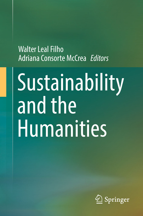# Walter Leal Filho Adriana Consorte McCrea Editors

# Sustainability and the Humanities

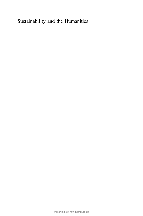Sustainability and the Humanities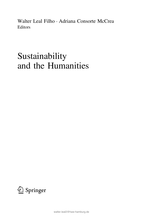Walter Leal Filho • Adriana Consorte McCrea Editors

# Sustainability and the Humanities

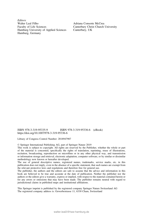**Editors** Walter Leal Filho Faculty of Life Sciences Hamburg University of Applied Sciences Hamburg, Germany

Adriana Consorte McCrea Canterbury Christ Church University Canterbury, UK

ISBN 978-3-319-95335-9 ISBN 978-3-319-95336-6 (eBook) https://doi.org/10.1007/978-3-319-95336-6

Library of Congress Control Number: 2018947987

© Springer International Publishing AG, part of Springer Nature 2019

This work is subject to copyright. All rights are reserved by the Publisher, whether the whole or part of the material is concerned, specifically the rights of translation, reprinting, reuse of illustrations, recitation, broadcasting, reproduction on microfilms or in any other physical way, and transmission or information storage and retrieval, electronic adaptation, computer software, or by similar or dissimilar methodology now known or hereafter developed.

The use of general descriptive names, registered names, trademarks, service marks, etc. in this publication does not imply, even in the absence of a specific statement, that such names are exempt from the relevant protective laws and regulations and therefore free for general use.

The publisher, the authors and the editors are safe to assume that the advice and information in this book are believed to be true and accurate at the date of publication. Neither the publisher nor the authors or the editors give a warranty, express or implied, with respect to the material contained herein or for any errors or omissions that may have been made. The publisher remains neutral with regard to jurisdictional claims in published maps and institutional affiliations.

This Springer imprint is published by the registered company Springer Nature Switzerland AG The registered company address is: Gewerbestrasse 11, 6330 Cham, Switzerland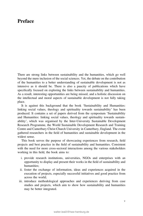### **Preface**

There are strong links between sustainability and the humanities, which go well beyond the mere inclusion of the social sciences. Yet, the debate on the contribution of the humanities to a better understanding of sustainable development is not as intensive as it should be. There is also a paucity of publications which have specifically focused on exploring the links between sustainability and humanities. As a result, interesting opportunities are being missed, and a holistic discussion on the intellectual and moral aspects of sustainable development is not fully taking place.

It is against this background that the book 'Sustainability and Humanities: linking social values, theology and spirituality towards sustainability' has been produced. It contains a set of papers derived from the symposium 'Sustainability and Humanities: linking social values, theology and spirituality towards sustainability', which was organised by the Inter-University Sustainable Development Research Programme, the World Sustainable Development Research and Training Centre and Canterbury Christ Church University in Canterbury, England. The event gathered researchers in the field of humanities and sustainable development in the widest sense.

This book serves the purpose of showcasing experiences from research, field projects and best practice in the field of sustainability and humanities. Consistent with the need for more cross-sectoral interactions among the various stakeholders working in this field, the book aims to:

- i. provide research institutions, universities, NGOs and enterprises with an opportunity to display and present their works in the field of sustainability and humanities;
- ii. foster the exchange of information, ideas and experiences acquired in the execution of projects, especially successful initiatives and good practice from across the world;
- iii. introduce methodological approaches and experiences deriving from case studies and projects, which aim to show how sustainability and humanities may be better integrated.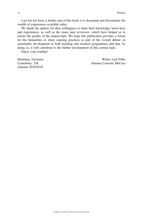Last but not least, a further aim of this book is to document and disseminate the wealth of experiences available today.

We thank the authors for their willingness to share their knowledge, know-how and experiences, as well as the many peer reviewers, which have helped us to ensure the quality of the manuscripts. We hope this publication provides a forum for the humanities to share ongoing practices as part of the overall debate on sustainable development in both teaching and research programmes and that, by doing so, it will contribute to the further development of this central topic.

Enjoy your reading!

Autumn 2018/2019

Hamburg, Germany Walter Leal Filho Canterbury, UK Adriana Consorte McCrea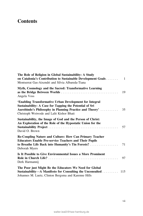## **Contents**

| The Role of Religion in Global Sustainability: A Study<br>on Catalonia's Contribution to Sustainable Development Goals<br>Montserrat Gas-Aixendri and Sílvia Albareda-Tiana                                               | $\overline{\phantom{0}}$ |
|---------------------------------------------------------------------------------------------------------------------------------------------------------------------------------------------------------------------------|--------------------------|
| Myth, Cosmology and the Sacred: Transformative Learning<br>Angela Voss                                                                                                                                                    | 19                       |
| 'Enabling Transformative Urban Development for Integral<br>Sustainability: A Case for Tapping the Potential of Sri<br>Aurobindo's Philosophy in Planning Practice and Theory'<br>Christoph Woiwode and Lalit Kishor Bhati | 35                       |
| Sustainability, the Image of God and the Person of Christ:<br>An Exploration of the Role of the Hypostatic Union for the<br>David O. Brown                                                                                | 57                       |
| Re-Coupling Nature and Culture: How Can Primary Teacher<br><b>Educators Enable Pre-service Teachers and Their Pupils</b><br>to Breathe Life Back into Humanity's Tin Forests?<br>Deborah Myers                            | 71                       |
| Is It Possible to Give Environmental Issues a More Prominent<br>Derk Harmannij                                                                                                                                            | 97                       |
| The Poor just Might Be the Educators We Need for Global<br>Sustainability-A Manifesto for Consulting the Unconsulted 115<br>Johannes M. Luetz, Clinton Bergsma and Karenne Hills                                          |                          |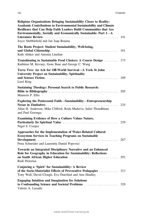| Religious Organizations Bringing Sustainability Closer to Reality:<br><b>Academic Contributions to Environmental Sustainability and Climate</b><br>Resilience that Can Help Faith Leaders Build Communities that Are<br>Environmentally, Socially and Economically Sustainable: Part 1-A |     |
|------------------------------------------------------------------------------------------------------------------------------------------------------------------------------------------------------------------------------------------------------------------------------------------|-----|
| Joyce Stubblefield and Jan Jaap Bouma                                                                                                                                                                                                                                                    | 141 |
| The Roots Project: Student Sustainability, Well-being,<br>Kath Abiker and Antonia Linehan                                                                                                                                                                                                | 161 |
| Transitioning to Sustainable Food Choices: A Course Design<br>Kathleen M. Kevany, Gene Baur and George C. Wang                                                                                                                                                                           | 173 |
| Terra Two: An Ark for Off-World Survival-A York St John<br>University Project on Sustainability, Spirituality<br>Liesl King                                                                                                                                                              | 189 |
| <b>Sustaining Theology: Personal Search to Public Research:</b><br>Maureen P. Ellis                                                                                                                                                                                                      | 205 |
| Exploring the Pentecostal Faith-Sustainability-Entrepreneurship<br>Allan H. Anderson, Mike Clifford, Roda Madziva, Juliet Thondhlana<br>and Paul Goronga                                                                                                                                 | 225 |
| <b>Examining Evidence of How a Culture Values Nature,</b><br>Nigel S. Cooper                                                                                                                                                                                                             | 239 |
| Approaches for the Implementation of Water-Related Cultural<br><b>Ecosystem Services in Teaching Programs on Sustainable</b><br>Petra Schneider and Laurentiu Daniel Popovici                                                                                                            | 267 |
| Towards an Integrated Disciplinary Narrative and an Enhanced<br>Role for Geography in Education for Sustainability: Reflections<br>Rudi Pretorius                                                                                                                                        | 291 |
| Conjuring a 'Spirit' for Sustainability: A Review<br>of the Socio-Materialist Effects of Provocative Pedagogies<br>Tony Wall, David Clough, Eva Österlind and Ann Hindley                                                                                                                | 313 |
| <b>Engaging Intuition and Imagination for Solutions</b><br>Valerie A. Luzadis                                                                                                                                                                                                            | 329 |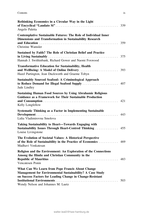#### Contents ix

| Rethinking Economics in a Circular Way in the Light<br>of Encyclical "Laudato Si"                                                                                          | 339 |
|----------------------------------------------------------------------------------------------------------------------------------------------------------------------------|-----|
| Angelo Paletta<br><b>Contemplative Sustainable Futures: The Role of Individual Inner</b>                                                                                   |     |
| <b>Dimensions and Transformation in Sustainability Research</b>                                                                                                            | 359 |
| <b>Christine Wamsler</b>                                                                                                                                                   |     |
| Sustained by Faith? The Role of Christian Belief and Practice<br>Hannah J. Swithinbank, Richard Gower and Naomi Foxwood                                                    | 375 |
| <b>Transformative Education for Sustainability, Health</b>                                                                                                                 |     |
| Hazel Partington, Jean Duckworth and Graeme Tobyn                                                                                                                          | 393 |
| <b>Sustainably Sourced Seafood: A Criminological Approach</b><br>to Reduce Demand for Illegal Seafood Supply<br>Jade Lindley                                               | 407 |
| <b>Sustaining Human Food Sources by Using Abrahamic Religious</b><br>Guidance as a Framework for Their Sustainable Production<br>Kelly Longfellow                          | 421 |
| <b>Systematic Thinking as a Factor in Implementing Sustainable</b>                                                                                                         |     |
| Lidia Vladimirovna Smolova                                                                                                                                                 | 443 |
| Taking Sustainability to Heart—Towards Engaging with<br><b>Sustainability Issues Through Heart-Centred Thinking </b><br>Louise Livingstone                                 | 455 |
| The Evolution of Societal Values: A Historical Perspective<br>of the Role of Sustainability in the Practice of Economics<br>Madhavi Venkatesan                             | 469 |
| Religion and the Environment: An Exploration of the Connections<br>Among the Hindu and Christian Community in the<br>Republic of Mauritius<br>Vencatesen Ponin             | 483 |
| What Can We Learn from Pope Francis About Change<br>Management for Environmental Sustainability? A Case Study<br>on Success Factors for Leading Change in Change-Resistant | 503 |
| Wendy Nelson and Johannes M. Luetz                                                                                                                                         |     |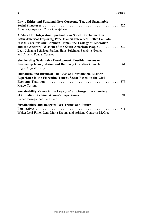| v.<br>л | Contents<br>. |
|---------|---------------|
|         |               |

| Law's Ethics and Sustainability: Corporate Tax and Sustainable                                                                                                                                                                                                                                                                                                                               |  |
|----------------------------------------------------------------------------------------------------------------------------------------------------------------------------------------------------------------------------------------------------------------------------------------------------------------------------------------------------------------------------------------------|--|
| Adaeze Okoye and Chisa Onyejekwe<br>A Model for Integrating Spirituality in Social Development in<br>Latin America: Exploring Pope Francis Encyclical Letter Laudato<br>Si (On Care for Our Common Home), the Ecology of Liberation<br>and the Ancestral Wisdom of the South American People 539<br>Lady Johanna Peñaloza-Farfan, Hans Suleiman Sanabria-Gomez<br>and Alberto Paucar-Caceres |  |
| <b>Shepherding Sustainable Development: Possible Lessons on</b><br>Leadership from Judaism and the Early Christian Church 561<br>Roger Auguste Petry                                                                                                                                                                                                                                         |  |
| Humanism and Business: The Case of a Sustainable Business<br><b>Experience in the Florentine Tourist Sector Based on the Civil</b><br>Marco Tortora                                                                                                                                                                                                                                          |  |
| Sustainability Values in the Legacy of St. George Preca: Society<br>Esther Farrugia and Paul Pace                                                                                                                                                                                                                                                                                            |  |
| <b>Sustainability and Religion: Past Trends and Future</b><br>Walter Leal Filho, Lena Maria Dahms and Adriana Consorte-McCrea                                                                                                                                                                                                                                                                |  |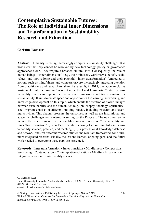## <span id="page-10-0"></span>**Contemplative Sustainable Futures: The Role of Individual Inner Dimensions and Transformation in Sustainability Research and Education**



#### **Christine Wamsler**

**Abstract** Humanity is facing increasingly complex sustainability challenges. It is now clear that they cannot be resolved by new technology, policy or governance approaches alone. They require a broader, cultural shift. Consequently, the role of human beings' "inner dimensions" (e.g., their mindsets, worldviews, beliefs, social values, and motivations) and their potential "inner transformation" (embodied in notions such as mindfulness and compassion) are increasingly attracting attention from practitioners and researchers alike. As a result, in 2015, the "Contemplative Sustainable Futures Program" was set up at the Lund University Centre for Sustainability Studies to explore the role of inner dimensions and transformation for sustainability. It aims to create space and opportunities for learning, networking, and knowledge development on this topic, which entails the creation of closer linkages between sustainability and the humanities (e.g., philosophy, theology, spirituality). The Program consists of different building blocks, including research and teaching activities. This chapter presents the outcomes, as well as the institutional and academic challenges encountered in setting up the Program. The outcomes so far include the establishment of (i) a new Masters-level course on "Sustainability and Inner Transformation", (ii) an Experimental Learning Lab on mindfulness in sustainability science, practice, and teaching, (iii) a professional knowledge database and network, and (iv) different research studies and resultant frameworks for future, more integrated research. Finally, the lessons learned, ongoing gaps, and the future work needed to overcome these gaps are presented.

**Keywords** Inner transformation · Inner transition · Mindfulness · Compassion Well-being • Contemplation • Contemplative education • Mindful climate action Integral adaptation · Sustainability science

359

C. Wamsler  $(\boxtimes)$ 

Lund University Centre for Sustainability Studies (LUCSUS), Lund University, Box 170, SE-221 00 Lund, Sweden e-mail: christine.wamsler@lucsus.lu.se

<sup>©</sup> Springer International Publishing AG, part of Springer Nature 2019 W. Leal Filho and A. Consorte McCrea (eds.), *Sustainability and the Humanities*, https://doi.org/10.1007/978-3-319-95336-6\_20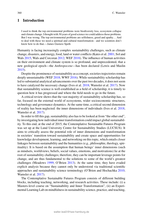#### **1 Introduction**

I used to think the top environmental problems were biodiversity loss, ecosystem collapse and climate change. I thought with 30 years of good science we could address those problems. But I was wrong. The top environmental problems are selfishness, greed and apathy… And to deal with these we need a spiritual and cultural transformation - and we scientists don't know how to do that.—James Gustave Speth

Humanity is facing increasingly complex sustainability challenges, such as climate change, disasters, and energy, food, land or water conflicts (Kates et al. [2001;](#page-23-0) Sol and Wals [2015;](#page-24-0) Wals and Corcoran [2012;](#page-24-1) WEF [2018\)](#page-24-2). The influence of human activities on their environment and climate system is so profound, and unprecedented, that a new geological epoch—the *Anthropocene*—has been declared (Lewis and Maslin [2015\)](#page-23-1).

Despite the prominence of sustainability as a concept, societies trajectories remain deeply unsustainable (WEF [2018;](#page-24-2) WWF [2016\)](#page-24-3). While sustainability scholarship has led to substantial analytical advancements over the past two decades, it does not seem to have catalyzed the necessary change (Ives et al. [2018;](#page-23-2) Wamsler et al. [2017\)](#page-24-4). Now that sustainability science is well-established as a field of scholarship, it is timely to question how it has progressed and where the field needs to go in the future.

A critical review shows that the vast majority of sustainability scholarship has, so far, focused on the external world of ecosystems, wider socioeconomic structures, technology and governance dynamics. At the same time, a critical second dimension of reality has been neglected: the inner dimensions of individuals (Ives et al. [2018;](#page-23-2) Wamsler et al. [2017\)](#page-24-4).

In order to fill this gap, sustainability also has to be looked at from "the other end", by investigating how individual inner transformation could impact global sustainability. To this end, at the end of 2015, the Contemplative Sustainable Futures Program was set up at the Lund University Centre for Sustainability Studies (LUCSUS). It aims to critically assess the potential role of inner dimensions and transformation in societies' transition toward sustainability and create space and opportunities for knowledge development, learning, and networking on this topic, which entails closer linkages between sustainability and the humanities (e.g., philosophie, theology, spirituality). It is based on the assumption that human beings' inner dimensions (such as mindsets, worldviews, beliefs, social values, emotions, and motivations) lie at the root of sustainability challenges; therefore, they can be important leverage points for change, and are thus fundamental to the solutions to some of the world's greatest challenges (Meadows [1999;](#page-23-3) O'Brien [2013\)](#page-23-4). At the same time, they have evaded explicit analysis because they cannot only be understood via traditional scientific approaches and sustainability science terminology (O'Brien and Hochachka [2010;](#page-23-5) Wamsler et al. [2017\)](#page-24-4).

The Contemplative Sustainable Futures Program consists of different building blocks, including teaching, networking, and research activities. These include: (i) a Masters-level course on "Sustainability and Inner Transformation", (ii) an Experimental Learning Lab on mindfulness in sustainability science, practice, and teaching,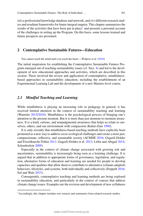(iii) a professional knowledge database and network, and (iv) different research studies and resultant frameworks for future integral enquiry. This chapter summarizes the results of the activities that have been put in place<sup>[1](#page-12-0)</sup> and presents a personal account of the challenges in setting up the Program. On this basis, some lessons learned and future prospects are presented.

#### <span id="page-12-1"></span>**2 Contemplative Sustainable Futures—Education**

You cannot teach the mind until you reach the heart.—Wolpow et al. [\(2016\)](#page-24-5)

The initial inspiration for establishing the Contemplative Sustainable Futures Program emerged out of teaching sustainability issues (cf. Sect. [4\)](#page-20-0) and led to the development of new educational approaches and activities, which are described in this section. These involved the review and application of contemplative, mindfulnessbased approaches in sustainability education, including the establishment of an Experimental Learning Lab and the development of a new Masters-level course.

#### *2.1 Mindful Teaching and Learning*

While mindfulness is playing an increasing role in pedagogy in general, it has received limited attention in the context of sustainability teaching and learning (Wamsler [2015/2016\)](#page-24-6). Mindfulness is the psychological process of bringing one's attention to the present moment. But it is more than just moment-to-moment awareness. It is a kind, curious, and nonjudgmental awareness that helps us relate to ourselves, others, and our environment with compassion (Kabat-Zinn [1990\)](#page-23-6).

It is only recently that mindfulness-based teaching methods have explicitly been promoted as a new way to address socio-ecological challenges and create a more just, compassionate, reflective, and sustainable society (ACMHE [2016;](#page-22-0) Gugerli-Dolder and Frischknecht-Tobler [2011;](#page-23-7) Gugerli-Dolder et al. [2013;](#page-23-8) Litfin and Abigail [2014;](#page-23-9) Schoeberlein [2009\)](#page-24-7).

Especially in the context of climate change associated with growing risk and uncertainties, sustainability is increasingly being seen as a learning challenge. It is argued that in addition to appropriate forms of governance, legislation, and regulation, alternative forms of education and learning are needed for people to develop capacities and qualities that allow them to contribute to alternative (climate adapted) behaviors, lifestyles, and systems, both individually and collectively (Doppelt [2016;](#page-23-10) Sol and Wals [2015\)](#page-24-0).

Consequently, contemplative teaching and learning methods are being explored in sustainability education, and particularly in the context of courses that address climate change issues. Examples are the revision and development of new syllabuses

<span id="page-12-0"></span> $<sup>1</sup>$  Accordingly, this chapter includes text extracts and summaries from related research studies.</sup>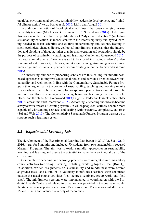on global environmental politics, sustainability leadership development, and "mindful climate action" (e.g., Barret et al. [2016;](#page-23-11) Litfin and Abigail [2014\)](#page-23-9).

In addition, the notion of "ecological mindfulness" has been emerging in sustainability teaching (Mueller and Greenwood [2015;](#page-23-12) Sol and Wals [2015\)](#page-24-0). Underlying this notion is the idea that the proliferation of "adjectival education" (including sustainability education) is inconsistent with the interdisciplinary and hybrid learning needed to foster scientific and cultural understanding and actions, leading to socio-ecological change. Hence, ecological mindfulness suggests that the integration and blending of thought, rather than its disintegration and separation, should be the purpose of sustainability teaching and learning (Mueller and Greenwood [2015\)](#page-23-12). Ecological mindfulness of teachers is said to be crucial in shaping students' understanding of nature–society relations, and it requires integrating indigenous cultural knowledge and sustainable practices within existing scientific frameworks (Chinn [2015\)](#page-23-13).

An increasing number of pioneering scholars are thus calling for mindfulnessbased approaches to improve educational bodies and curricula oriented toward sustainability and well-being. In line with the Contemplative Sustainable Futures Program they argue that in the context of sustainability, teaching and learning require spaces where diverse holistic, and place-responsive perspectives can take root, be nurtured, and flourish into ways of knowing, being, and becoming that serve people, places, and the planet (cf. Greenwood [2013;](#page-23-14) Gugerli-Dolder and Frischknecht-Tobler [2011;](#page-23-7) Sameshima and Greenwood [2015\)](#page-24-8). Accordingly, teaching should also become a way to work toward a "learning system", in which people collectively become more capable of withstanding setbacks and dealing with insecurity, complexity, and risks (Sol and Wals [2015\)](#page-24-0). The Contemplative Sustainable Futures Program was set up to support such a learning system.

#### <span id="page-13-0"></span>*2.2 Experimental Learning Lab*

The development of the Experimental Learning Lab began in 2015 (cf. Sect. [2\)](#page-12-1). In 2016, it ran for 3 months and included 70 students from two sustainability-focused Masters' Programs. The aim was to explore mindful approaches in sustainability teaching and learning and assess the potential to make them an integral part of the curriculum.

Contemplative teaching and learning practices were integrated into mandatory course activities (reflecting, listening, debating, working together, etc. [Box 1]). In addition, written assignments on sustainability and mindfulness were offered as graded tasks, and a total of 16 voluntary mindfulness sessions were conducted outside the usual course activities (i.e., lectures, seminars, group work, and field trips). The mindfulness sessions were implemented in coordination with the Students' Health Centre, and related information was provided in the course schedule, the students' course portal, and a closed Facebook group. The sessions lasted between 15 and 30 min and included a variety of techniques.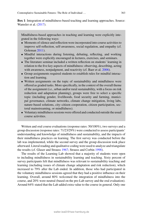**Box 1**: Integration of mindfulness-based teaching and learning approaches. Source: Wamsler et al. [\(2017\)](#page-24-4).

Mindfulness-based approaches in teaching and learning were explicitly integrated in the following ways:

- Moments of silence and reflection were incorporated into course activities to improve self-reflection, self-awareness, social regulation, and empathy (cf. Goleman [2011\)](#page-23-15).
- Mindful interactions during listening, debating, reflecting, and working together were explicitly encouraged in lectures, exercises, and seminars.
- The literature seminar included a written reflection on students' learning in relation to the five key aspects of mindfulness: observing, describing, acting with awareness, nonjudgment, and reactivity (cf. Baer et al. [2006\)](#page-22-1).
- Group assignments required students to establish rules for mindful interaction and learning.
- Written assignments on the topic of sustainability and mindfulness were offered as graded tasks. More specifically, in the context of the overall theme of the assignment (i.e., urban and/or rural sustainability, with a focus on risk reduction and adaptation planning), groups were free to select a specific topic (including gender, livelihoods, food security and farming, municipal governance, climate networks, climate change mitigation, living labs, nature-based solutions, city–citizen cooperation, citizen participation, sectoral mainstreaming, or mindfulness).
- Voluntary mindfulness sessions were offered and conducted outside the usual course activities.

Written and oral course evaluations (response rates: 50/100%), two surveys and a group discussion (response rates: 71/23/29%) were conducted to assess participants' understanding and knowledge of mindfulness and sustainability, and the impacts of their mindfulness practices on learning. The first survey was conducted before the lab was implemented, while the second survey and the group discussion took place afterward. Literal reading and qualitative coding were used to analyze and triangulate the results (cf. Glaser and Strauss [1967;](#page-23-16) Strauss and Corbin [1998\)](#page-24-9).

The results of the Learning Lab showed that a majority of students were open to including mindfulness in sustainability learning and teaching. Sixty percent of survey participants felt that mindfulness was relevant to sustainability teaching and learning (including issues of climate change adaptation and risk reduction), which increased to 79% after the Lab ended. In addition, those who had participated in the voluntary mindfulness sessions agreed that they had a positive influence on their learning. Overall, around 80% welcomed the integration of mindfulness into the course, and 20% were neutral (based on the pre-Lab survey and the oral evaluation). Around 64% stated that the Lab added extra value to the course in general. Only one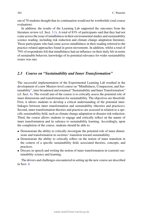out of 70 students thought that its continuation would not be worthwhile (oral course evaluation).

In addition, the results of the Learning Lab supported the outcomes from the literature review (cf. Sect. [3.1\)](#page-16-0). A total of 83% of participants said that they had not come across the issue of mindfulness in their environmental studies and sustainability science reading, including risk reduction and climate change adaptation literature. Those participants who had come across mindfulness in their reading referred to the practice-related approaches found in green movements. In addition, whilst a total of 79% of respondents felt that mindfulness had an influence on their daily life in terms of sustainable behavior, knowledge of its potential relevance for wider sustainability issues was rare.

#### *2.3 Course on "Sustainability and Inner Transformation"*

The successful implementation of the Experimental Learning Lab resulted in the development of a new Masters-level course on "Mindfulness, Compassion, and Sustainability", later broadened and renamed "Sustainability and Inner Transformation" (cf. Sect. [4\)](#page-20-0). The overall aim of the course is to critically assess the potential role of inner dimensions and transformation for sustainability. The objectives are threefold. First, it allows students to develop a critical understanding of the potential interlinkages between inner transformation and sustainability (theories and practices). Second, inner transformation theories and practices are assessed in relation to a specific sustainability field, such as climate change adaptation or disaster risk reduction. Third, the course allows students to engage and critically reflect on the nature of inner transformation and its salience to sustainability learning. Accordingly, upon the completion of the course, students should be able to:

- Demonstrate the ability to critically investigate the potential role of inner dimensions and transformation in societies' transition toward sustainability.
- Demonstrate the ability to critically reflect on the notion of inner transition in the context of a specific sustainability field, associated theories, concepts, and practices.
- Discuss in speech and writing the notion of inner transformation in (current) sustainability science and learning.

The drivers and challenges encountered in setting up the new course are described in Sect. [4.](#page-20-0)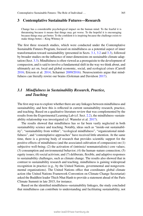#### **3 Contemplative Sustainable Futures—Research**

Change has a considerable psychological impact on the human mind. To the fearful it is threatening because it means that things may get worse. To the hopeful it is encouraging because things may get better. To the confident it is inspiring because the challenge exists to make things better.—King Whitney Jr

The first three research studies, which were conducted under the Contemplative Sustainable Futures Program, focused on mindfulness as a potential aspect of inner transformation toward sustainability (presented in Sects. [3.1,](#page-16-0) [3.2](#page-17-0) and [3.3\)](#page-19-0), followed by broader studies on the influence of inner dimensions on sustainable climate adaptation (Sect. [3.3\)](#page-19-0). Mindfulness is often viewed as a prerequisite to the development of compassion, and is said to involve a fundamental shift in the way we think about, and ultimately act on, local and global economic, social, and ecological crises (Carroll [2016;](#page-23-17) Ericson et al. [2014;](#page-23-18) Scharmer [2009/2016\)](#page-24-10). Neuroscientists argue that mindfulness can literally rewire our brains (Goleman and Davidson [2017\)](#page-23-19).

#### <span id="page-16-0"></span>*3.1 Mindfulness in Sustainability Research, Practice, and Teaching*

The first step was to explore whether there are any linkages between mindfulness and sustainability, and how this is reflected in current sustainability research, practice, and teaching. Based on a qualitative literature review that was complemented by the results from the Experimental Learning Lab (cf. Sect. [2.2\)](#page-13-0), the mindfulness–sustainability relationship was investigated (cf. Wamsler et al. [2017\)](#page-24-4).

The results showed that mindfulness has so far been vastly neglected in both sustainability science and teaching. Notably, ideas such as "inside-out sustainability", "sustainability from within", "ecological mindfulness", "organizational mindfulness", and "contemplative approaches" have received little attention. At the same time, there is a growing body of research that provides scientific support for the positive effects of mindfulness (and the associated cultivation of compassion) on (1) subjective well-being; (2) the activation of (intrinsic/ nonmaterialistic) core values; (3) consumption and environmental behavior; (4) the human–nature connection; (5) equity issues; (6) social activism; and (7) deliberate, flexible, and adaptive responses to sustainability challenges, such as climate change. The results also showed that in contrast to sustainability research and teaching, mindfulness is gaining widespread recognition in practice (e.g., by the United Nations, governmental and nongovernmental organizations). The United Nations office that coordinates global climate action (the United Nations Framework Convention on Climate Change Secretariat) asked the Buddhist leader Thich Nhat Hanh to provide a statement ahead of the Paris Climate Summit in late 2015, for instance.

Based on the identified mindfulness–sustainability linkages, the study concluded that mindfulness can contribute to understanding and facilitating sustainability, not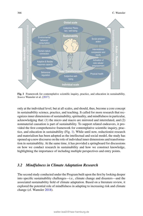

<span id="page-17-1"></span>**Fig. 1** Framework for contemplative scientific inquiry, practice, and education in sustainability. *Source* Wamsler et al. [\(2017\)](#page-24-4)

only at the individual level, but at all scales, and should, thus, become a core concept in sustainability science, practice, and teaching. It called for more research that recognizes inner dimensions of sustainability, spirituality, and mindfulness in particular, acknowledging that: (1) the micro and macro are mirrored and interrelated, and (2) nonmaterial causation is part of sustainability. To support related endeavors, it provided the first comprehensive framework for contemplative scientific inquiry, practice, and education in sustainability (Fig. [1\)](#page-17-1). While until now, reductionist research and materialism has been adopted as the intellectual and social model, the study has opened up a new discourse on the role of individual inner dimensions and transformation in sustainability. At the same time, it has provided a springboard for discussions on how we conduct research in sustainability and how we construct knowledge, highlighting the importance of including multiple perspectives and entry points.

#### <span id="page-17-0"></span>*3.2 Mindfulness in Climate Adaptation Research*

The second study conducted under the Program built upon the first by looking deeper into specific sustainability challenges—i.e., climate change and disasters—and the associated sustainability field of climate adaptation. Based on a literature review, it explored the potential role of mindfulness in adapting to increasing risk and climate change (cf. Wamsler [2018\)](#page-24-11).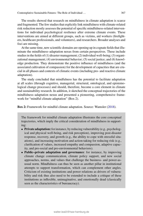The results showed that research on mindfulness in climate adaptation is scarce and fragmented. The few studies that explicitly link mindfulness with climate-related risk reduction mostly assesses the potential of specific mindfulness-related interventions for individual psychological resilience after extreme climate events. These interventions are aimed at different groups, such as victims, aid workers (firefighters, healthcare professionals, and volunteers), and researchers. Broader analyses and foci are missing.

At the same time, new scientific domains are opening up in cognate fields that illuminate the mindfulness–adaptation nexus from certain perspectives. These include studies in the fields of (1) disaster management; (2) individual well-being; (3) organizational management; (4) environmental behavior; (5) social justice; and (6) knowledge production. They demonstrate the positive influence of mindfulness (and the associated cultivation of compassion) for the development of capacities that are crucial in all phases and contexts of climatic events (including pro- and reactive climate adaptation).

The study concluded that mindfulness has the potential to facilitate adaptation at all scales (through cognitive, managerial, structural, ontological, and epistemological change processes) and should, therefore, become a core element in climate and sustainability research. In addition, it sketched the conceptual trajectories of the mindfulness–adaptation nexus and presented a pioneering, comprehensive framework for "mindful climate adaptation" (Box 2).

**Box 2:** Framework for mindful climate adaptation. Source: Wamsler [\(2018\)](#page-24-11).

The framework for mindful climate adaptation illustrates the core conceptual trajectories, which imply the critical consideration of mindfulness in supporting:

- **Private adaptation:**for instance, by reducing vulnerability (e.g., psychological and physical well-being, and risk perception), improving post-disaster response, recovery, and growth (e.g., the ability to cope with stressful situations), and increasing motivation and action-taking for reducing risk (e.g., clarification of values, increased empathy and compassion, adaptive capacity, and pro-social and pro-environmental behaviors).
- **Public–private adaptation and governance**: for instance, by improving climate change communication, climate policy support, and new social approaches, norms, and values that challenge the business- and power-asusual norm. Mindfulness can thus be seen as another pillar in institutional attempts to support transformation, which can complement other angles. Criticism of existing institutions and power relations as drivers of vulnerability and risk thus also need to be extended to include a critique of these institutions as inflexible, unimaginative, and emotionally dead (classically seen as the characteristics of bureaucracy).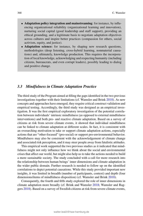- **Adaptation policy integration and mainstreaming**: for instance, by influencing organizational reliability (organizational learning and innovation), nurturing social capital (good leadership and staff support), providing an ethical grounding, and a legitimate basis to negotiate adaptation objectives across cultures and inspire better practices (compassion for others, social activism, equity, and justice).
- **Adaptation science:** for instance, by shaping new research questions, methodologies (deep listening, cross-hybrid learning, nonmaterial causations) and, ultimately, knowledge production. This requires the incorporation of local knowledge, acknowledging and respecting humanity (including citizens, bureaucrats, and even corrupt leaders), possibly leading to dialog and positive change.

#### <span id="page-19-0"></span>*3.3 Mindfulness in Climate Adaptation Practice*

The third study of the Program aimed at filling the gaps identified in the two previous investigations together with their limitations (cf. Wamsler and Brink [2018\)](#page-24-12). As new concepts and approaches have emerged, they require critical construct validation and empirical testing. Accordingly, the third study was designed as an empirical investigation. It was the first empirical exploratory investigation of the potential correlation between individuals' intrinsic mindfulness (as opposed to external mindfulness interventions) and both pro- and reactive climate adaptation. Based on a survey of citizens at risk from severe climate events, it showed that individual mindfulness can be linked to climate adaptation at different scales. In fact, it is consistent with an overarching motivation to take or support climate adaptation actions, especially actions that are "other-focused" (pro-social) or support pro-environmental behavior. Mindfulness may also be consistent with the acknowledgement of climate change and associated risk perception, and it may steer people away from fatalistic attitudes.

This empirical work supported the two previous studies as it indicated that mindfulness might not only influence how we think about the social and environmental crises that affect our world, but might also help us to take the actions needed to build a more sustainable society. The study concluded with a call for more research into the relationship between human beings' inner dimensions and climate adaptation in the wider public domain. Further research is needed to follow up on the identified correlations to depict potential causations. While this study provided important new insights, it was limited in breadth (number of participants, context) and depth (four dimensions/items of mindfulness disposition) (cf. Wamsler and Brink [2018\)](#page-24-12).

Consequently, the fourth and fifth study explored the role of inner dimensions in climate adaptation more broadly (cf. Brink and Wamsler [2018;](#page-23-20) Wamsler and Raggers [2018\)](#page-24-13). Based on a survey of Swedish citizens at risk from severe climate events,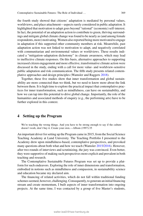the fourth study showed that citizens' adaptation is mediated by personal values, worldviews, and place attachment—aspects rarely considered in public adaptation. It highlighted that motivation to adapt goes beyond "rational" (economic) self-interest. In fact, the potential of an adaptation action to contribute to green, thriving surroundings and mitigate global climate change was found to be nearly as (and among female respondents, more) motivating.Women also reported being more motivated to engage in adaptation if this supported other community members at risk. Meanwhile, past adaptation action was not linked to motivation to adapt, and negatively correlated with communitarian and environmental values or worldviews. These results indicated a "mitigation–adaptation dichotomy" in climate awareness, which may lead to ineffective climate responses. On this basis, alternative approaches to supporting increased citizen engagement and more effective, transformative climate action were discussed in the study, ending with a call for more value- and worldview-sensitive public adaptation and risk communication. The fifth study presents related contemplative approaches and design principles (Wamsler and Raggers [2018\)](#page-24-13).

Together, these five studies show that inner transformation and global sustainability are more connected than we think, but we need to know more about the link between them. It is high time to explore the practical impact that contemplative practices for inner transformation, such as mindfulness, can have on sustainability, and how we can tap into this potential to drive global change. Importantly, the role of the humanities and associated methods of enquiry (e.g., the performing arts) have to be further explored in this context.

#### <span id="page-20-0"></span>**4 Setting up the Program**

We're teaching the wrong things. And you have to be strong enough to say if the culture doesn't work, don't buy it. Create your own.—Albom (1997):35

An important driver for setting up the Program came in 2015, from the Social Science Teaching Academy at Lund University. The Teaching Portfolio I presented to the Academy drew upon mindfulness-based, contemplative perspectives, and provoked many questions about both what and how we teach (Wamsler [2015/2016\)](#page-24-6). However, after two rounds of interviews and scrutinizing, the jury was convinced. Even better, they were supportive of making such perspectives more explicit and prevalent in both teaching and research.

The Contemplative Sustainable Futures Program was set up to provide a platform for such endeavors. Exploring the role of inner dimensions and transformation, embodied in notions such as mindfulness and compassion, in sustainability science and education became my declared aim.

The financing of related activities, which do not fall within traditional funding schemes seemed, however, challenging. Consequently, to generate an initial financing stream and create momentum, I built aspects of inner transformation into ongoing projects. At the same time, I was contacted by a group of five Master's students,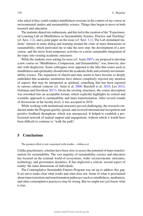who asked if they could conduct mindfulness sessions in the context of my course in environmental studies and sustainability science. Things thus began to move in both research and education.

The students shared my enthusiasm, and this led to the creation of the "Experimental Learning Lab on Mindfulness in Sustainability Science, Practice and Teaching" (cf. Sect. [2.2\)](#page-13-0), and a joint paper on the issue (cf. Sect. [3.1\)](#page-16-0). The Lab stimulated students' interest in more dialog and learning around the issue of inner dimensions in sustainability, which motivated me to take the next step: the development of a new course, and the move from temporary activities to a more sustainable integration of the topic into existing academic structures.

While the students were asking for more (cf. Astin [2007\)](#page-22-2), my proposal to develop a new course on "Mindfulness, Compassion, and Sustainability" was, however, also met with skepticism. Some colleagues were opposed to the idea that issues such as mindfulness and spirituality should enter the academic field, and certainly not sustainability science. The separation of church and state seems to have become so deeply embedded that academic institutions have almost completely rejected any mention of aspects that may be interpreted as spiritual, something that has been reported in various cultural contexts (cf. Astin et al. [2006;](#page-22-3) Burchell et al. [2010;](#page-23-21) Lee [2012;](#page-23-22) Goleman and Davidson [2017\)](#page-23-19). Given the existing structures, the course description was reworked into an acceptable format, which explicitly highlights its critical and scientific approach to sustainability and inner transformation. After several rounds of discussions at the faculty level, it was accepted in 2018.

While working with institutional structures proved challenging, the research conducted under the Program quickly spread, and received international recognition and positive feedback throughout, which was unexpected. It helped to establish a professional network of mutual support and engagement, without which it would have been difficult to continue to "walk the path".

#### **5 Conclusions**

The greatest effort is not concerned with results.—Athisa n.d.

Unlike practitioners, scholars have been slow to assess the potential of inner transformation for sustainability. The vast majority of sustainability science and education has focused on the external world of ecosystems, wider socioeconomic structures, technology, and governance dynamics. It has neglected a critical, second aspect of reality: the inner dimensions of individuals.

The Contemplative Sustainable Futures Program was set up to address this gap. It set out to make clear what works and what does not. Some of what is proclaimed about inner transition and transformation pathways (such as mindfulness, meditation, and other contemplative practices) may be wrong. But we might not (yet) know what is true.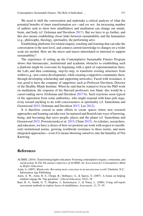We need to shift the conversation and undertake a critical analysis of what the potential benefits of inner transformation *are*—and *are not*. An increasing number of authors seek to show how mindfulness and meditation can change our minds, brain, and body (cf. Goleman and Davidson [2017\)](#page-23-19). But we have to go further, and this also means establishing closer links between sustainability and the humanities (e.g., philosophy, theology, spirituality, the performing arts).

Establishing platforms for related enquiry, teaching and learning that can take the conversation to the next level, and connect current knowledge to changes on a wider scale are needed. How are the micro and macro interrelated or mirrored to support sustainability?

The experience of setting up the Contemplative Sustainable Futures Program shows that bureaucratic, institutional and academic obstacles to establishing such a platform might be overcome by beginning with a spirit of experimentation (here, the Lab) and then continuing, step-by-step, to transform existing structures from within (e.g., new course development), while creating a supportive community (here, through developing scholarship and supporting networks). Faced with resistance, it was good to have the company of supporters such as Professor Davidson, Director of the Healthy Minds Institute. When he said that he wanted to focus his PhD work on meditation, the response of his Harvard professors was blunt: this would be a career-ending move (Goleman and Davidson [2017:](#page-23-19)6). Such reactions seem typical of the opposition from some authorities, who might respond with knee-jerk negativity toward anything to do with consciousness or spirituality (cf. Sameshima and Greenwood [2015;](#page-24-8) Goleman and Davidson [2017;](#page-23-19) Lee [2012\)](#page-23-22).

It is therefore crucial to unite efforts to create spaces where new research approaches and learning can take root, be nurtured and flourish into ways of knowing, being, and becoming that serve people, places and the planet (cf. Sameshima and Greenwood [2015;](#page-24-8) Powietrzynska et al. [2015;](#page-23-23) Chinn [2015\)](#page-23-13). As scholars, researchers, and educators, we have a choice of how we position our work with respect to (neoliberal) institutional norms, growing worldwide resistance to these norms, and more integrated approaches—even if it means throwing ourselves into the humility of Not Knowing.

#### **References**

- <span id="page-22-0"></span>ACMHE. (2016). Transforming higher education: Fostering contemplative inquiry, community, and social action. In *The 8th annual conference of ACMHE, the Association for Contemplative Mind in Higher Education*.
- <span id="page-22-2"></span>Astin, A. (2007). *Mindworks: Becoming more conscious in an unconscious world*. Charlotte, N.C.: Information Age Publishing.
- <span id="page-22-3"></span>Astin, A. W., Astin, H. S., Chopp, R., Delbanco, A., & Speers, S. (2007). A forum on helping students engage the "big questions". *Liberal Education, 93*(2), 28.
- <span id="page-22-1"></span>Baer, R. A., Smith, G. T., Hopkins, J., Krietemeyer, J., & Toney, L. (2006). Using self-report assessment methods to explore facets of mindfulness. *Assessment, 13,* 27–45.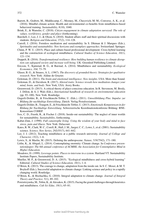- <span id="page-23-11"></span>Barrett, B., Grabow, M., Middlecamp, C., Mooney, M., Checovich, M. M., Converse, A. K., et al. (2016). Mindful climate action: Health and environmental co-benefits from mindfulness-based behavioral training. *Sustainability, 8*(10), 1040.
- <span id="page-23-20"></span>Brink, E., & Wamsler, C. (2018). *Citizen engagement in climate adaptation surveyed: The role of values, worldviews, gender and place* (forthcoming).
- <span id="page-23-21"></span>Burchell, J., Lee, J. J., & Olson, S. (2010). Student affairs staff and their spiritual discussions with students. *Religion and Education, 37*(2), 114–128.
- <span id="page-23-17"></span>Carroll, J. (2016). Formless meditation and sustainability. In S. Dhiman & J. Marques (Eds.), *Spirituality and sustainability: New horizons and exemplary approaches*. Switzerland: Springer.
- <span id="page-23-13"></span>Chinn, P. W. U. (2015). Place and culture-based professional development: Cross-hybrid learning and the construction of ecological mindfulness. *Cultural Studies of Science Education, 10*(1), 121–134.
- <span id="page-23-10"></span>Doppelt, B. (2016). *Transformational resilience: How building human resilience to climate disruption can safeguard society and increase well being*. UK: Greenleaf Publishing Limited.
- <span id="page-23-18"></span>Ericson, T., Kjønstad, B. G., & Barstad, A. (2014). Mindfulness and sustainability. *Ecological Economics, 104,* 73–79.
- <span id="page-23-16"></span>Glaser, B. G., & Strauss, A. L. (1967). *The discovery of grounded theory: Strategies for qualitative research*. New York: Aldine de Gruyter.
- <span id="page-23-15"></span>Goleman, D. (2011). *The brain and emotional intelligence: New insights*. USA: More than Sound.
- <span id="page-23-19"></span>Goleman, D., & Davidson, R. (2017). *Altered traits: Science reveals how meditation changes your mind, brain, and body*. New York, USA: Avery Books.
- <span id="page-23-14"></span>Greenwood, D. (2013). A critical theory of place-conscious education. In R. Stevenson, M. Brody, J. Dillon, & A. J. Wals (Eds.), *International handbook of research on environmental education* (pp. 93–100). New York: Routledge.
- <span id="page-23-7"></span>Gugerli-Dolder, B., & Frischknecht-Tobler, U. (Eds.). (2011). *Umweltbildung Plus. Impulse zur Bildung für nachhaltige Entwicklung*. Zürich: Verlag Pestalozzianum.
- <span id="page-23-8"></span>Gugerli-Dolder, B., Traugott, E., & Frischknecht-Tobler, U. (2013). *Emotionale Kompetenzen in der Bildung für Nachhaltige Entwicklung*. Schweizerische Koordinationskonferenz Bildung: BNE-Konsortium COHEP.
- <span id="page-23-2"></span>Ives, C. D., Freeth, R., & Fischer J. (2018). Inside-out sustainability: The neglect of inner worlds for sustainability. *Sustainability*, forthcoming.
- <span id="page-23-6"></span>Kabat-Zinn, J. (1990). *Full catastrophe living: Using the wisdom of your body and mind to face stress, pain and illness*. New York: Delacourt.
- <span id="page-23-0"></span>Kates, R. W., Clark, W. C., Corell, R., Hall, J. M., Jaeger, C. C., Lowe, I., et al. (2001). Sustainability science. *Science, New Series, 292*(5517), 641–642.
- <span id="page-23-22"></span>Lee, J. J. (2012). Teaching mindfulness at a public research university. *Journal of College and Character, 13*(2), 1–6.
- <span id="page-23-1"></span>Lewis, S., & Maslin, M. (2015). Defining the anthropocene. *Nature, 519*(7542), 171–180.
- <span id="page-23-9"></span>Litfin, K., & Abigail, L. (2014). Contemplating enormity: Climate change. In *Conference presentation/paper. The 6th annual conference of ACMHE, the Association for Contemplative Mind in Higher Education*.
- <span id="page-23-3"></span>Meadows, D. (1999). *Leverage points: Places to intervene in a system*. Hartland VT: Sustainability Institute Papers, Sustainability Institute.
- <span id="page-23-12"></span>Mueller, M. P., & Greenwood, D. A. (2015). "Ecological mindfulness and cross-hybrid learning" Editorial. *Cultural Studies of Science Education, 10*(1), 1–4.
- <span id="page-23-4"></span>O'Brien, K. (2013). The courage to change, adaptation from the inside out. In S. C. Moser, & M. T. Boykoff (Eds.), Successful adaptation to climate change: Linking science and policy in a rapidly changing world. Routledge.
- <span id="page-23-5"></span>O'Brien, K., & Hochachka, G. (2010). Integral adaptation to climate change. *Journal of Integral Theory and Practice, 5*(1), 89–102.
- <span id="page-23-23"></span>Powietrzynska,M., Tobin, K., & Alexakos, K. (2015). Facing the grand challenges through heuristics and mindfulness. *Cult Sci Educ, 10*(1), 65–81.